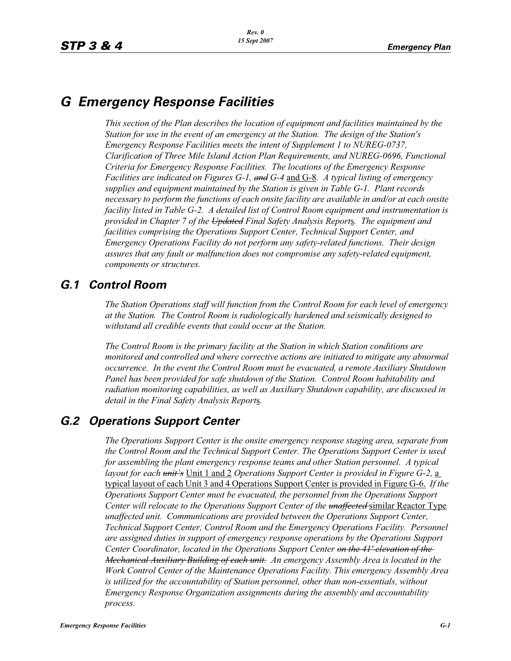# *G Emergency Response Facilities*

*This section of the Plan describes the location of equipment and facilities maintained by the Station for use in the event of an emergency at the Station. The design of the Station's Emergency Response Facilities meets the intent of Supplement 1 to NUREG-0737, Clarification of Three Mile Island Action Plan Requirements, and NUREG-0696, Functional Criteria for Emergency Response Facilities. The locations of the Emergency Response Facilities are indicated on Figures G-1, and G-4* and G-8*. A typical listing of emergency supplies and equipment maintained by the Station is given in Table G-1. Plant records necessary to perform the functions of each onsite facility are available in and/or at each onsite facility listed in Table G-2. A detailed list of Control Room equipment and instrumentation is provided in Chapter 7 of the Updated Final Safety Analysis Report*s*. The equipment and facilities comprising the Operations Support Center, Technical Support Center, and Emergency Operations Facility do not perform any safety-related functions. Their design assures that any fault or malfunction does not compromise any safety-related equipment, components or structures.*

# *G.1 Control Room*

*The Station Operations staff will function from the Control Room for each level of emergency at the Station. The Control Room is radiologically hardened and seismically designed to withstand all credible events that could occur at the Station.*

*The Control Room is the primary facility at the Station in which Station conditions are monitored and controlled and where corrective actions are initiated to mitigate any abnormal occurrence. In the event the Control Room must be evacuated, a remote Auxiliary Shutdown Panel has been provided for safe shutdown of the Station. Control Room habitability and radiation monitoring capabilities, as well as Auxiliary Shutdown capability, are discussed in detail in the Final Safety Analysis Report*s*.* 

# *G.2 Operations Support Center*

*The Operations Support Center is the onsite emergency response staging area, separate from the Control Room and the Technical Support Center. The Operations Support Center is used for assembling the plant emergency response teams and other Station personnel. A typical layout for each unit's* Unit 1 and 2 *Operations Support Center is provided in Figure G-2,* a typical layout of each Unit 3 and 4 Operations Support Center is provided in Figure G-6. *If the Operations Support Center must be evacuated, the personnel from the Operations Support Center will relocate to the Operations Support Center of the <del>unaffected</del> similar Reactor Type unaffected unit. Communications are provided between the Operations Support Center, Technical Support Center, Control Room and the Emergency Operations Facility. Personnel are assigned duties in support of emergency response operations by the Operations Support Center Coordinator, located in the Operations Support Center on the 41' elevation of the Mechanical Auxiliary Building of each unit. An emergency Assembly Area is located in the Work Control Center of the Maintenance Operations Facility. This emergency Assembly Area is utilized for the accountability of Station personnel, other than non-essentials, without Emergency Response Organization assignments during the assembly and accountability process.*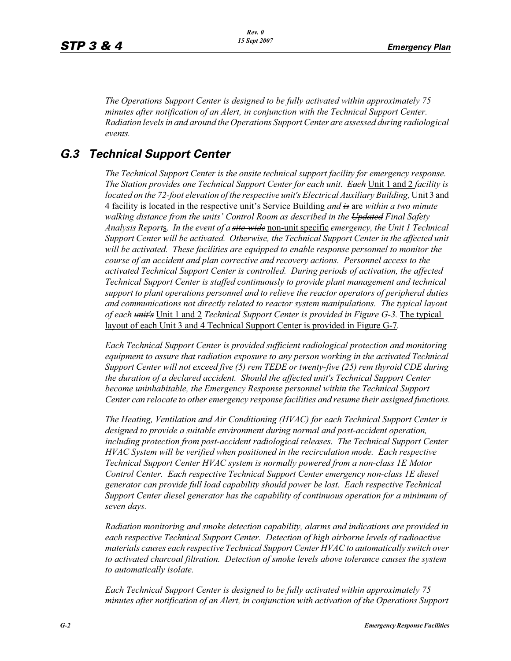*The Operations Support Center is designed to be fully activated within approximately 75 minutes after notification of an Alert, in conjunction with the Technical Support Center. Radiation levels in and around the Operations Support Center are assessed during radiological events.*

## *G.3 Technical Support Center*

*The Technical Support Center is the onsite technical support facility for emergency response. The Station provides one Technical Support Center for each unit. Each* Unit 1 and 2 *facility is*  located on the 72-foot elevation of the respective unit's Electrical Auxiliary Building, Unit 3 and 4 facility is located in the respective unit's Service Building *and is* are *within a two minute walking distance from the units' Control Room as described in the Updated Final Safety Analysis Report*s*. In the event of a site-wide* non-unit specific *emergency, the Unit 1 Technical Support Center will be activated. Otherwise, the Technical Support Center in the affected unit will be activated. These facilities are equipped to enable response personnel to monitor the course of an accident and plan corrective and recovery actions. Personnel access to the activated Technical Support Center is controlled. During periods of activation, the affected Technical Support Center is staffed continuously to provide plant management and technical support to plant operations personnel and to relieve the reactor operators of peripheral duties and communications not directly related to reactor system manipulations. The typical layout of each unit's* Unit 1 and 2 *Technical Support Center is provided in Figure G-3.* The typical layout of each Unit 3 and 4 Technical Support Center is provided in Figure G-7*.*

*Each Technical Support Center is provided sufficient radiological protection and monitoring equipment to assure that radiation exposure to any person working in the activated Technical Support Center will not exceed five (5) rem TEDE or twenty-five (25) rem thyroid CDE during the duration of a declared accident. Should the affected unit's Technical Support Center*  become uninhabitable, the Emergency Response personnel within the Technical Support *Center can relocate to other emergency response facilities and resume their assigned functions.*

*The Heating, Ventilation and Air Conditioning (HVAC) for each Technical Support Center is*  designed to provide a suitable environment during normal and post-accident operation, *including protection from post-accident radiological releases. The Technical Support Center HVAC System will be verified when positioned in the recirculation mode. Each respective Technical Support Center HVAC system is normally powered from a non-class 1E Motor Control Center. Each respective Technical Support Center emergency non-class 1E diesel generator can provide full load capability should power be lost. Each respective Technical Support Center diesel generator has the capability of continuous operation for a minimum of seven days.*

*Radiation monitoring and smoke detection capability, alarms and indications are provided in each respective Technical Support Center. Detection of high airborne levels of radioactive materials causes each respective Technical Support Center HVAC to automatically switch over to activated charcoal filtration. Detection of smoke levels above tolerance causes the system to automatically isolate.*

*Each Technical Support Center is designed to be fully activated within approximately 75 minutes after notification of an Alert, in conjunction with activation of the Operations Support*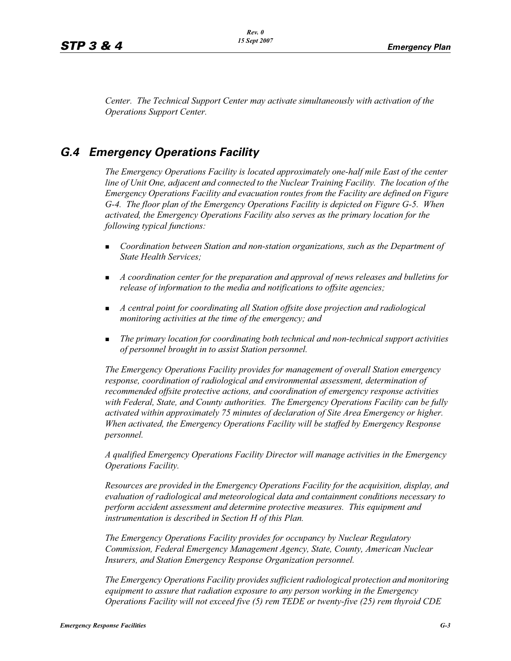*Center. The Technical Support Center may activate simultaneously with activation of the Operations Support Center.*

# *G.4 Emergency Operations Facility*

*The Emergency Operations Facility is located approximately one-half mile East of the center line of Unit One, adjacent and connected to the Nuclear Training Facility. The location of the Emergency Operations Facility and evacuation routes from the Facility are defined on Figure G-4. The floor plan of the Emergency Operations Facility is depicted on Figure G-5. When activated, the Emergency Operations Facility also serves as the primary location for the following typical functions:*

- - *Coordination between Station and non-station organizations, such as the Department of State Health Services;*
- *A coordination center for the preparation and approval of news releases and bulletins for release of information to the media and notifications to offsite agencies;*
- **A** central point for coordinating all Station offsite dose projection and radiological *monitoring activities at the time of the emergency; and*
- - *The primary location for coordinating both technical and non-technical support activities of personnel brought in to assist Station personnel.*

*The Emergency Operations Facility provides for management of overall Station emergency response, coordination of radiological and environmental assessment, determination of recommended offsite protective actions, and coordination of emergency response activities with Federal, State, and County authorities. The Emergency Operations Facility can be fully activated within approximately 75 minutes of declaration of Site Area Emergency or higher. When activated, the Emergency Operations Facility will be staffed by Emergency Response personnel.* 

*A qualified Emergency Operations Facility Director will manage activities in the Emergency Operations Facility.*

*Resources are provided in the Emergency Operations Facility for the acquisition, display, and evaluation of radiological and meteorological data and containment conditions necessary to perform accident assessment and determine protective measures. This equipment and instrumentation is described in Section H of this Plan.*

*The Emergency Operations Facility provides for occupancy by Nuclear Regulatory Commission, Federal Emergency Management Agency, State, County, American Nuclear Insurers, and Station Emergency Response Organization personnel.*

*The Emergency Operations Facility provides sufficient radiological protection and monitoring equipment to assure that radiation exposure to any person working in the Emergency Operations Facility will not exceed five (5) rem TEDE or twenty-five (25) rem thyroid CDE*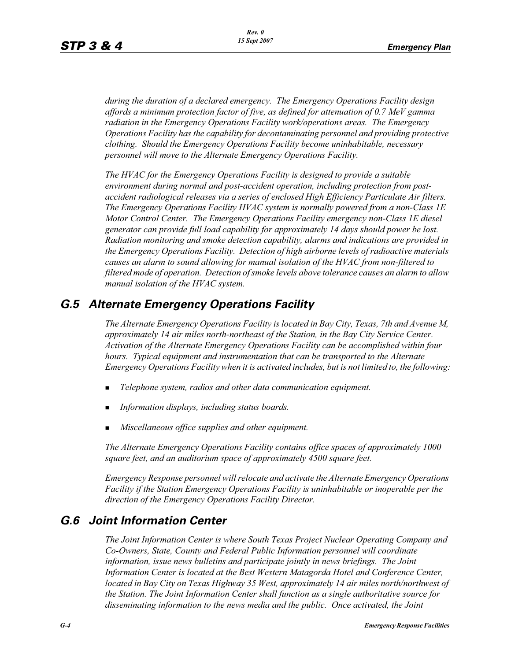*during the duration of a declared emergency. The Emergency Operations Facility design affords a minimum protection factor of five, as defined for attenuation of 0.7 MeV gamma radiation in the Emergency Operations Facility work/operations areas. The Emergency Operations Facility has the capability for decontaminating personnel and providing protective clothing. Should the Emergency Operations Facility become uninhabitable, necessary personnel will move to the Alternate Emergency Operations Facility.*

*The HVAC for the Emergency Operations Facility is designed to provide a suitable environment during normal and post-accident operation, including protection from postaccident radiological releases via a series of enclosed High Efficiency Particulate Air filters. The Emergency Operations Facility HVAC system is normally powered from a non-Class 1E Motor Control Center. The Emergency Operations Facility emergency non-Class 1E diesel generator can provide full load capability for approximately 14 days should power be lost. Radiation monitoring and smoke detection capability, alarms and indications are provided in the Emergency Operations Facility. Detection of high airborne levels of radioactive materials causes an alarm to sound allowing for manual isolation of the HVAC from non-filtered to filtered mode of operation. Detection of smoke levels above tolerance causes an alarm to allow manual isolation of the HVAC system.*

# *G.5 Alternate Emergency Operations Facility*

*The Alternate Emergency Operations Facility is located in Bay City, Texas, 7th and Avenue M, approximately 14 air miles north-northeast of the Station, in the Bay City Service Center. Activation of the Alternate Emergency Operations Facility can be accomplished within four hours. Typical equipment and instrumentation that can be transported to the Alternate Emergency Operations Facility when it is activated includes, but is not limited to, the following:*

- -*Telephone system, radios and other data communication equipment.*
- -*Information displays, including status boards.*
- -*Miscellaneous office supplies and other equipment.*

*The Alternate Emergency Operations Facility contains office spaces of approximately 1000 square feet, and an auditorium space of approximately 4500 square feet.*

*Emergency Response personnel will relocate and activate the Alternate Emergency Operations Facility if the Station Emergency Operations Facility is uninhabitable or inoperable per the direction of the Emergency Operations Facility Director.*

# *G.6 Joint Information Center*

*The Joint Information Center is where South Texas Project Nuclear Operating Company and Co-Owners, State, County and Federal Public Information personnel will coordinate information, issue news bulletins and participate jointly in news briefings. The Joint Information Center is located at the Best Western Matagorda Hotel and Conference Center, located in Bay City on Texas Highway 35 West, approximately 14 air miles north/northwest of the Station. The Joint Information Center shall function as a single authoritative source for disseminating information to the news media and the public. Once activated, the Joint*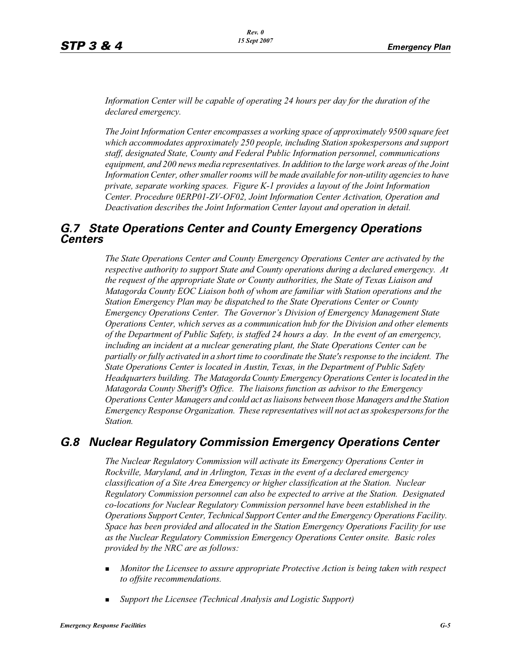*Information Center will be capable of operating 24 hours per day for the duration of the declared emergency.*

*The Joint Information Center encompasses a working space of approximately 9500 square feet which accommodates approximately 250 people, including Station spokespersons and support staff, designated State, County and Federal Public Information personnel, communications equipment, and 200 news media representatives. In addition to the large work areas of the Joint Information Center, other smaller rooms will be made available for non-utility agencies to have private, separate working spaces. Figure K-1 provides a layout of the Joint Information Center. Procedure 0ERP01-ZV-OF02, Joint Information Center Activation, Operation and Deactivation describes the Joint Information Center layout and operation in detail.*

## *G.7 State Operations Center and County Emergency Operations Centers*

*The State Operations Center and County Emergency Operations Center are activated by the respective authority to support State and County operations during a declared emergency. At the request of the appropriate State or County authorities, the State of Texas Liaison and Matagorda County EOC Liaison both of whom are familiar with Station operations and the Station Emergency Plan may be dispatched to the State Operations Center or County Emergency Operations Center. The Governor's Division of Emergency Management State Operations Center, which serves as a communication hub for the Division and other elements of the Department of Public Safety, is staffed 24 hours a day. In the event of an emergency, including an incident at a nuclear generating plant, the State Operations Center can be partially or fully activated in a short time to coordinate the State's response to the incident. The State Operations Center is located in Austin, Texas, in the Department of Public Safety Headquarters building. The Matagorda County Emergency Operations Center is located in the Matagorda County Sheriff's Office. The liaisons function as advisor to the Emergency Operations Center Managers and could act as liaisons between those Managers and the Station Emergency Response Organization. These representatives will not act as spokespersons for the Station.*

# *G.8 Nuclear Regulatory Commission Emergency Operations Center*

*The Nuclear Regulatory Commission will activate its Emergency Operations Center in Rockville, Maryland, and in Arlington, Texas in the event of a declared emergency classification of a Site Area Emergency or higher classification at the Station. Nuclear Regulatory Commission personnel can also be expected to arrive at the Station. Designated co-locations for Nuclear Regulatory Commission personnel have been established in the Operations Support Center, Technical Support Center and the Emergency Operations Facility. Space has been provided and allocated in the Station Emergency Operations Facility for use as the Nuclear Regulatory Commission Emergency Operations Center onsite. Basic roles provided by the NRC are as follows:*

- - *Monitor the Licensee to assure appropriate Protective Action is being taken with respect to offsite recommendations.*
- -*Support the Licensee (Technical Analysis and Logistic Support)*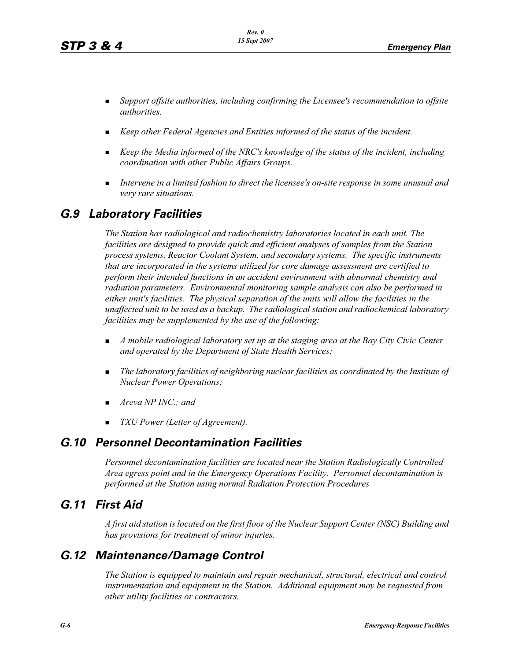- - *Support offsite authorities, including confirming the Licensee's recommendation to offsite authorities.*
- -*Keep other Federal Agencies and Entities informed of the status of the incident.*
- - *Keep the Media informed of the NRC's knowledge of the status of the incident, including coordination with other Public Affairs Groups.*
- - *Intervene in a limited fashion to direct the licensee's on-site response in some unusual and very rare situations.*

# *G.9 Laboratory Facilities*

*The Station has radiological and radiochemistry laboratories located in each unit. The facilities are designed to provide quick and efficient analyses of samples from the Station process systems, Reactor Coolant System, and secondary systems. The specific instruments that are incorporated in the systems utilized for core damage assessment are certified to perform their intended functions in an accident environment with abnormal chemistry and radiation parameters. Environmental monitoring sample analysis can also be performed in either unit's facilities. The physical separation of the units will allow the facilities in the unaffected unit to be used as a backup. The radiological station and radiochemical laboratory facilities may be supplemented by the use of the following:*

- - *A mobile radiological laboratory set up at the staging area at the Bay City Civic Center and operated by the Department of State Health Services;*
- - *The laboratory facilities of neighboring nuclear facilities as coordinated by the Institute of Nuclear Power Operations;*
- -*Areva NP INC.; and*
- -*TXU Power (Letter of Agreement).*

## *G.10 Personnel Decontamination Facilities*

*Personnel decontamination facilities are located near the Station Radiologically Controlled Area egress point and in the Emergency Operations Facility. Personnel decontamination is performed at the Station using normal Radiation Protection Procedures*

# *G.11 First Aid*

*A first aid station is located on the first floor of the Nuclear Support Center (NSC) Building and has provisions for treatment of minor injuries.* 

## *G.12 Maintenance/Damage Control*

*The Station is equipped to maintain and repair mechanical, structural, electrical and control instrumentation and equipment in the Station. Additional equipment may be requested from other utility facilities or contractors.*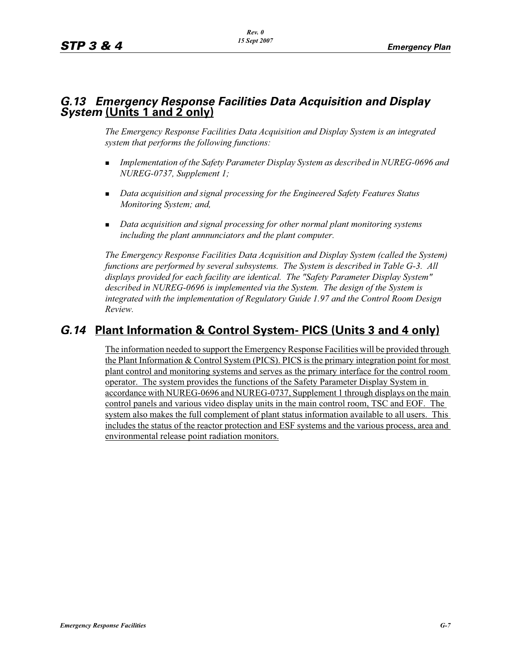# *G.13 Emergency Response Facilities Data Acquisition and Display System* **(Units 1 and 2 only)**

*The Emergency Response Facilities Data Acquisition and Display System is an integrated system that performs the following functions:*

- - *Implementation of the Safety Parameter Display System as described in NUREG-0696 and NUREG-0737, Supplement 1;*
- **Data acquisition and signal processing for the Engineered Safety Features Status** *Monitoring System; and,*
- **Data acquisition and signal processing for other normal plant monitoring systems** *including the plant annnunciators and the plant computer.*

*The Emergency Response Facilities Data Acquisition and Display System (called the System) functions are performed by several subsystems. The System is described in Table G-3. All displays provided for each facility are identical. The "Safety Parameter Display System" described in NUREG-0696 is implemented via the System. The design of the System is integrated with the implementation of Regulatory Guide 1.97 and the Control Room Design Review.*

# *G.14* **Plant Information & Control System- PICS (Units 3 and 4 only)**

The information needed to support the Emergency Response Facilities will be provided through the Plant Information & Control System (PICS). PICS is the primary integration point for most plant control and monitoring systems and serves as the primary interface for the control room operator. The system provides the functions of the Safety Parameter Display System in accordance with NUREG-0696 and NUREG-0737, Supplement 1 through displays on the main control panels and various video display units in the main control room, TSC and EOF. The system also makes the full complement of plant status information available to all users. This includes the status of the reactor protection and ESF systems and the various process, area and environmental release point radiation monitors.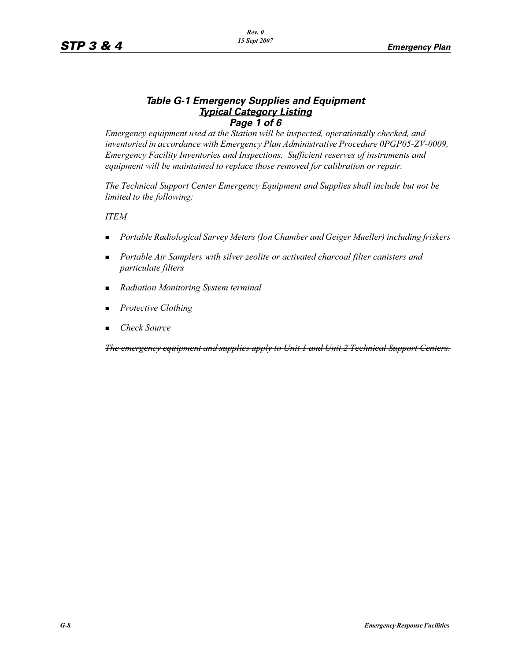### *Table G-1 Emergency Supplies and Equipment Typical Category Listing Page 1 of 6*

*Emergency equipment used at the Station will be inspected, operationally checked, and inventoried in accordance with Emergency Plan Administrative Procedure 0PGP05-ZV-0009, Emergency Facility Inventories and Inspections. Sufficient reserves of instruments and equipment will be maintained to replace those removed for calibration or repair.*

*The Technical Support Center Emergency Equipment and Supplies shall include but not be limited to the following:*

*ITEM*

- -*Portable Radiological Survey Meters (Ion Chamber and Geiger Mueller) including friskers*
- - *Portable Air Samplers with silver zeolite or activated charcoal filter canisters and particulate filters*
- -*Radiation Monitoring System terminal*
- -*Protective Clothing*
- -*Check Source*

*The emergency equipment and supplies apply to Unit 1 and Unit 2 Technical Support Centers.*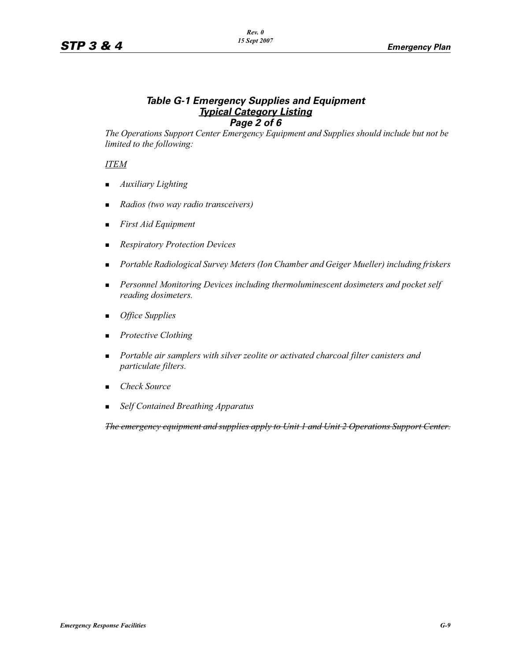### *Table G-1 Emergency Supplies and Equipment Typical Category Listing Page 2 of 6*

*The Operations Support Center Emergency Equipment and Supplies should include but not be limited to the following:*

#### *ITEM*

- -*Auxiliary Lighting*
- -*Radios (two way radio transceivers)*
- -*First Aid Equipment*
- -*Respiratory Protection Devices*
- -*Portable Radiological Survey Meters (Ion Chamber and Geiger Mueller) including friskers*
- - *Personnel Monitoring Devices including thermoluminescent dosimeters and pocket self reading dosimeters.*
- -*Office Supplies*
- -*Protective Clothing*
- - *Portable air samplers with silver zeolite or activated charcoal filter canisters and particulate filters.*
- -*Check Source*
- -*Self Contained Breathing Apparatus*

*The emergency equipment and supplies apply to Unit 1 and Unit 2 Operations Support Center.*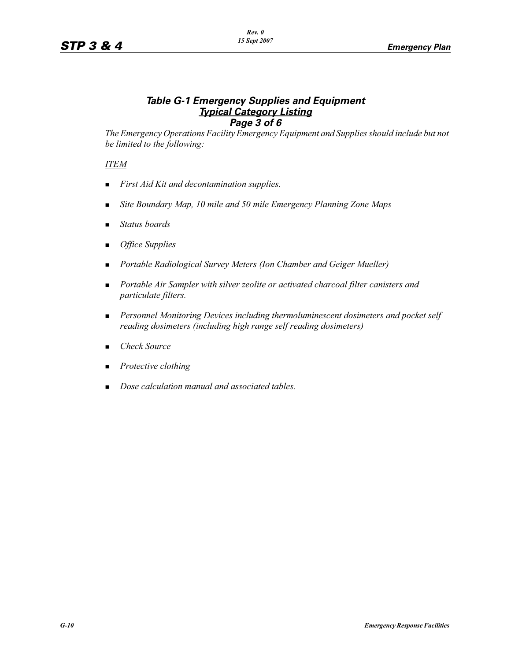### *Table G-1 Emergency Supplies and Equipment Typical Category Listing Page 3 of 6*

*The Emergency Operations Facility Emergency Equipment and Supplies should include but not be limited to the following:*

*ITEM*

- -*First Aid Kit and decontamination supplies.*
- -*Site Boundary Map, 10 mile and 50 mile Emergency Planning Zone Maps*
- -*Status boards*
- -*Office Supplies*
- -*Portable Radiological Survey Meters (Ion Chamber and Geiger Mueller)*
- - *Portable Air Sampler with silver zeolite or activated charcoal filter canisters and particulate filters.*
- **Personnel Monitoring Devices including thermoluminescent dosimeters and pocket self** *reading dosimeters (including high range self reading dosimeters)*
- -*Check Source*
- -*Protective clothing*
- -*Dose calculation manual and associated tables.*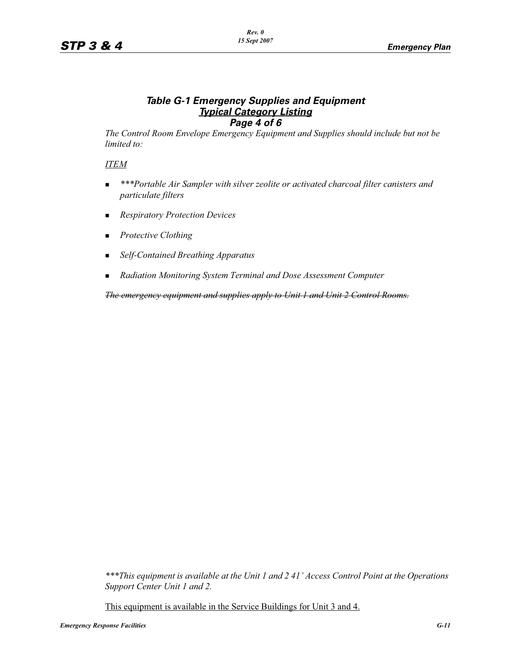### *Table G-1 Emergency Supplies and Equipment Typical Category Listing Page 4 of 6*

*The Control Room Envelope Emergency Equipment and Supplies should include but not be limited to:*

#### *ITEM*

- - *\*\*\*Portable Air Sampler with silver zeolite or activated charcoal filter canisters and particulate filters*
- -*Respiratory Protection Devices*
- **-** *Protective Clothing*
- -*Self-Contained Breathing Apparatus*
- -*Radiation Monitoring System Terminal and Dose Assessment Computer*

*The emergency equipment and supplies apply to Unit 1 and Unit 2 Control Rooms.*

*\*\*\*This equipment is available at the Unit 1 and 2 41' Access Control Point at the Operations Support Center Unit 1 and 2.* 

This equipment is available in the Service Buildings for Unit 3 and 4.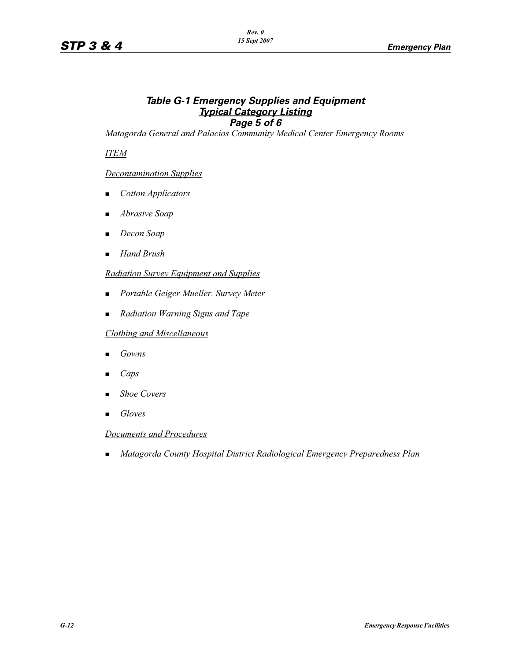## *Table G-1 Emergency Supplies and Equipment Typical Category Listing Page 5 of 6*

*Matagorda General and Palacios Community Medical Center Emergency Rooms*

*ITEM*

### *Decontamination Supplies*

- -*Cotton Applicators*
- -*Abrasive Soap*
- -*Decon Soap*
- -*Hand Brush*

#### *Radiation Survey Equipment and Supplies*

- -*Portable Geiger Mueller. Survey Meter*
- -*Radiation Warning Signs and Tape*

#### *Clothing and Miscellaneous*

- -*Gowns*
- -*Caps*
- -*Shoe Covers*
- -*Gloves*

#### *Documents and Procedures*

-*Matagorda County Hospital District Radiological Emergency Preparedness Plan*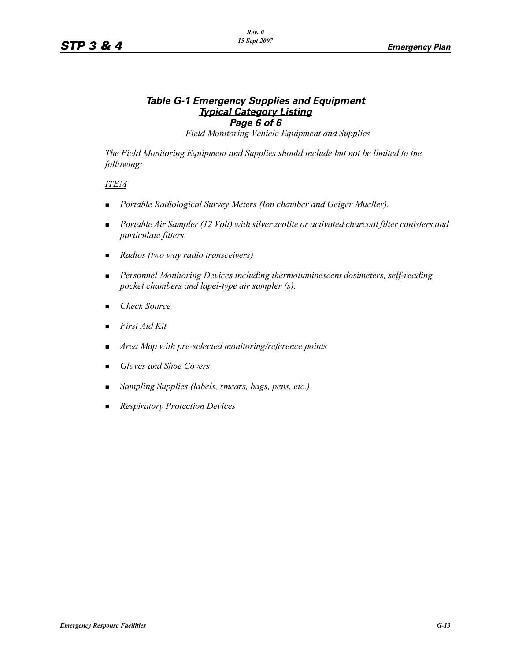## *Table G-1 Emergency Supplies and Equipment Typical Category Listing Page 6 of 6*

*Field Monitoring Vehicle Equipment and Supplies*

*The Field Monitoring Equipment and Supplies should include but not be limited to the following:*

#### *ITEM*

- -*Portable Radiological Survey Meters (Ion chamber and Geiger Mueller).*
- - *Portable Air Sampler (12 Volt) with silver zeolite or activated charcoal filter canisters and particulate filters.*
- -*Radios (two way radio transceivers)*
- - *Personnel Monitoring Devices including thermoluminescent dosimeters, self-reading pocket chambers and lapel-type air sampler (s).*
- -*Check Source*
- -*First Aid Kit*
- -*Area Map with pre-selected monitoring/reference points*
- -*Gloves and Shoe Covers*
- -*Sampling Supplies (labels, smears, bags, pens, etc.)*
- -*Respiratory Protection Devices*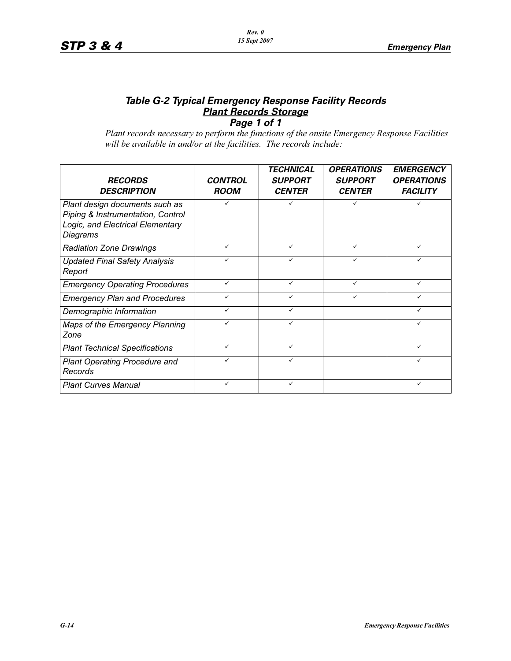#### *Table G-2 Typical Emergency Response Facility Records Plant Records Storage Page 1 of 1*

*Plant records necessary to perform the functions of the onsite Emergency Response Facilities will be available in and/or at the facilities. The records include:*

| <b>RECORDS</b><br><b>DESCRIPTION</b>                                                                                | <b>CONTROL</b><br><b>ROOM</b> | <b>TECHNICAL</b><br><b>SUPPORT</b><br><b>CENTER</b> | <b>OPERATIONS</b><br><b>SUPPORT</b><br><b>CENTER</b> | <b>EMERGENCY</b><br><b>OPERATIONS</b><br><b>FACILITY</b> |
|---------------------------------------------------------------------------------------------------------------------|-------------------------------|-----------------------------------------------------|------------------------------------------------------|----------------------------------------------------------|
| Plant design documents such as<br>Piping & Instrumentation, Control<br>Logic, and Electrical Elementary<br>Diagrams |                               | ✓                                                   | ✓                                                    | ✓                                                        |
| <b>Radiation Zone Drawings</b>                                                                                      | ✓                             | ✓                                                   | ✓                                                    | ✓                                                        |
| <b>Updated Final Safety Analysis</b><br>Report                                                                      |                               |                                                     |                                                      |                                                          |
| <b>Emergency Operating Procedures</b>                                                                               | ✓                             | ✓                                                   | ✓                                                    | ✓                                                        |
| <b>Emergency Plan and Procedures</b>                                                                                |                               |                                                     |                                                      |                                                          |
| Demographic Information                                                                                             | ✓                             | ✓                                                   |                                                      | ✓                                                        |
| Maps of the Emergency Planning<br>Zone                                                                              | ✓                             | ✓                                                   |                                                      | $\checkmark$                                             |
| <b>Plant Technical Specifications</b>                                                                               | ✓                             | ✓                                                   |                                                      | $\checkmark$                                             |
| <b>Plant Operating Procedure and</b><br>Records                                                                     | ✓                             | ✓                                                   |                                                      | $\checkmark$                                             |
| <b>Plant Curves Manual</b>                                                                                          | ✓                             | ✓                                                   |                                                      | $\checkmark$                                             |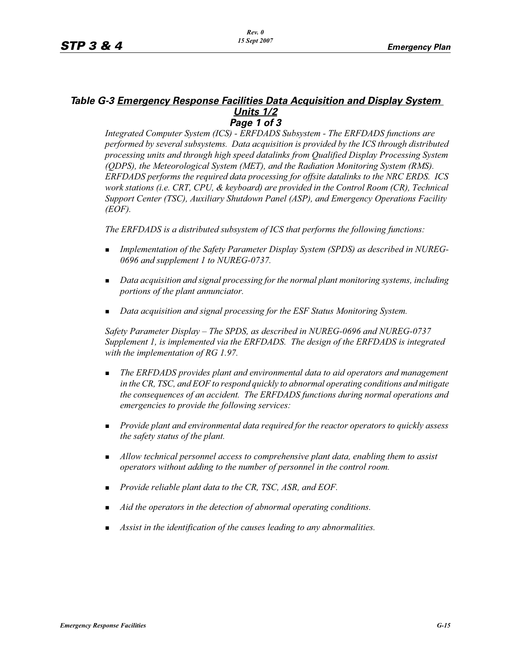#### *Table G-3 Emergency Response Facilities Data Acquisition and Display System Units 1/2 Page 1 of 3*

*Integrated Computer System (ICS) - ERFDADS Subsystem - The ERFDADS functions are performed by several subsystems. Data acquisition is provided by the ICS through distributed processing units and through high speed datalinks from Qualified Display Processing System (QDPS), the Meteorological System (MET), and the Radiation Monitoring System (RMS). ERFDADS performs the required data processing for offsite datalinks to the NRC ERDS. ICS work stations (i.e. CRT, CPU, & keyboard) are provided in the Control Room (CR), Technical Support Center (TSC), Auxiliary Shutdown Panel (ASP), and Emergency Operations Facility (EOF).*

*The ERFDADS is a distributed subsystem of ICS that performs the following functions:*

- - *Implementation of the Safety Parameter Display System (SPDS) as described in NUREG-0696 and supplement 1 to NUREG-0737.*
- **Data acquisition and signal processing for the normal plant monitoring systems, including** *portions of the plant annunciator.*
- -*Data acquisition and signal processing for the ESF Status Monitoring System.*

*Safety Parameter Display – The SPDS, as described in NUREG-0696 and NUREG-0737 Supplement 1, is implemented via the ERFDADS. The design of the ERFDADS is integrated with the implementation of RG 1.97.*

- - *The ERFDADS provides plant and environmental data to aid operators and management in the CR, TSC, and EOF to respond quickly to abnormal operating conditions and mitigate the consequences of an accident. The ERFDADS functions during normal operations and emergencies to provide the following services:*
- *Provide plant and environmental data required for the reactor operators to quickly assess the safety status of the plant.*
- **I** Allow technical personnel access to comprehensive plant data, enabling them to assist *operators without adding to the number of personnel in the control room.*
- -*Provide reliable plant data to the CR, TSC, ASR, and EOF.*
- -*Aid the operators in the detection of abnormal operating conditions.*
- -*Assist in the identification of the causes leading to any abnormalities.*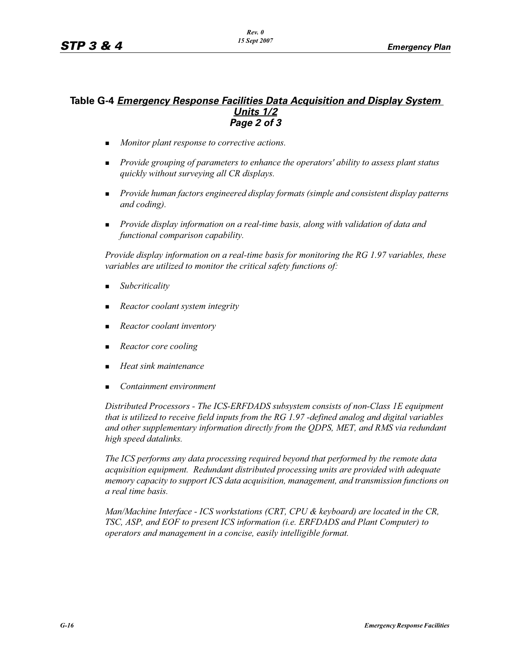### **Table G-4** *Emergency Response Facilities Data Acquisition and Display System Units 1/2 Page 2 of 3*

- -*Monitor plant response to corrective actions.*
- - *Provide grouping of parameters to enhance the operators' ability to assess plant status quickly without surveying all CR displays.*
- **Provide human factors engineered display formats (simple and consistent display patterns** *and coding).*
- - *Provide display information on a real-time basis, along with validation of data and functional comparison capability.*

*Provide display information on a real-time basis for monitoring the RG 1.97 variables, these variables are utilized to monitor the critical safety functions of:*

- -*Subcriticality*
- -*Reactor coolant system integrity*
- -*Reactor coolant inventory*
- -*Reactor core cooling*
- -*Heat sink maintenance*
- -*Containment environment*

*Distributed Processors - The ICS-ERFDADS subsystem consists of non-Class 1E equipment that is utilized to receive field inputs from the RG 1.97 -defined analog and digital variables and other supplementary information directly from the QDPS, MET, and RMS via redundant high speed datalinks.*

*The ICS performs any data processing required beyond that performed by the remote data acquisition equipment. Redundant distributed processing units are provided with adequate memory capacity to support ICS data acquisition, management, and transmission functions on a real time basis.*

*Man/Machine Interface - ICS workstations (CRT, CPU & keyboard) are located in the CR, TSC, ASP, and EOF to present ICS information (i.e. ERFDADS and Plant Computer) to operators and management in a concise, easily intelligible format.*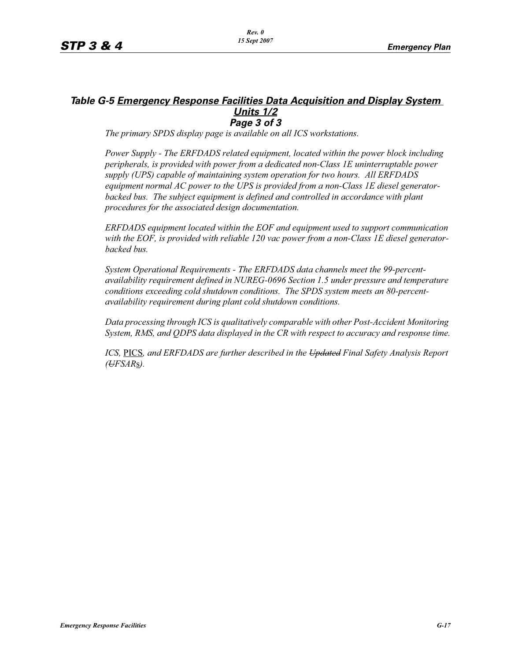#### *Table G-5 Emergency Response Facilities Data Acquisition and Display System Units 1/2 Page 3 of 3*

*The primary SPDS display page is available on all ICS workstations.*

*Power Supply - The ERFDADS related equipment, located within the power block including peripherals, is provided with power from a dedicated non-Class 1E uninterruptable power supply (UPS) capable of maintaining system operation for two hours. All ERFDADS equipment normal AC power to the UPS is provided from a non-Class 1E diesel generator*backed bus. The subject equipment is defined and controlled in accordance with plant *procedures for the associated design documentation.*

*ERFDADS equipment located within the EOF and equipment used to support communication with the EOF, is provided with reliable 120 vac power from a non-Class 1E diesel generatorbacked bus.*

*System Operational Requirements - The ERFDADS data channels meet the 99-percentavailability requirement defined in NUREG-0696 Section 1.5 under pressure and temperature conditions exceeding cold shutdown conditions. The SPDS system meets an 80-percentavailability requirement during plant cold shutdown conditions.*

*Data processing through ICS is qualitatively comparable with other Post-Accident Monitoring System, RMS, and QDPS data displayed in the CR with respect to accuracy and response time.*

*ICS,* PICS*, and ERFDADS are further described in the Updated Final Safety Analysis Report (UFSAR*s*).*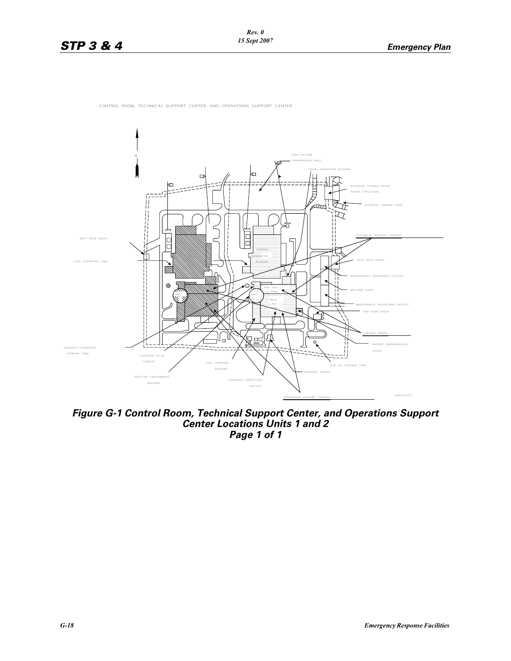



*Figure G-1 Control Room, Technical Support Center, and Operations Support Center Locations Units 1 and 2 Page 1 of 1*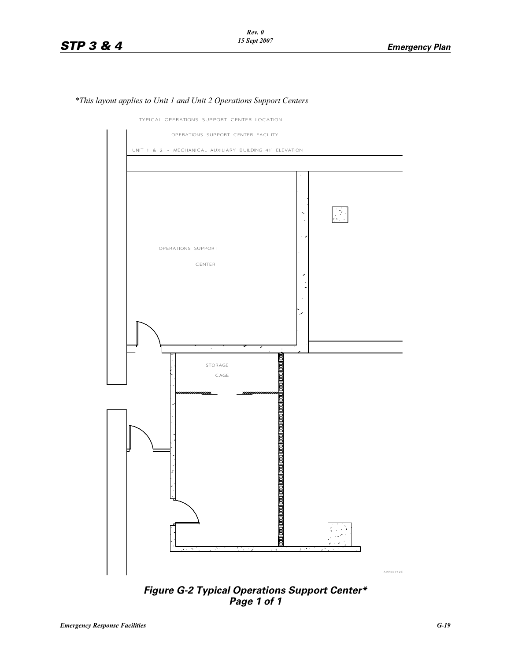

*\*This layout applies to Unit 1 and Unit 2 Operations Support Centers*

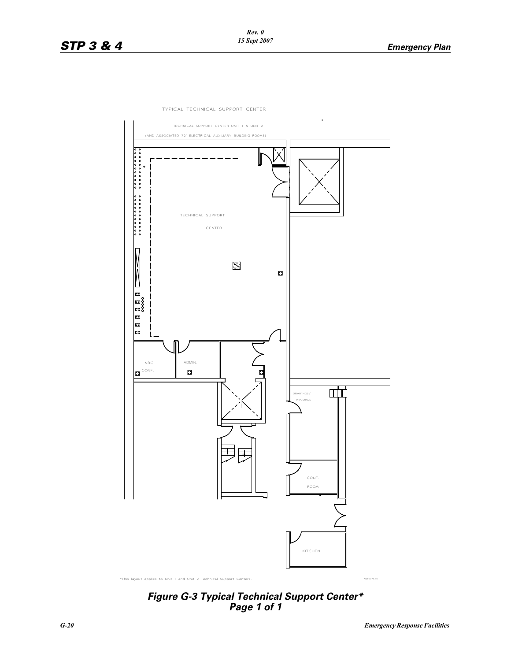



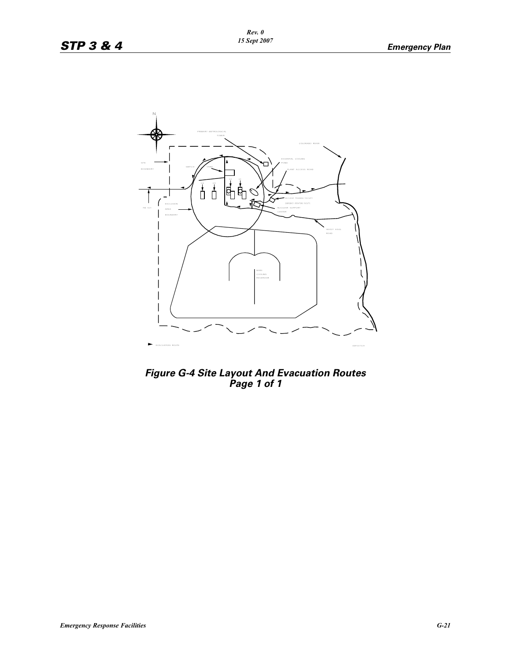

*Figure G-4 Site Layout And Evacuation Routes Page 1 of 1*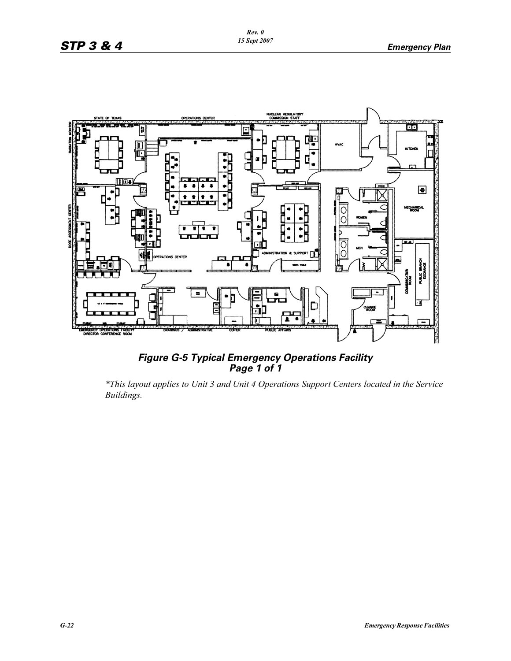

*Figure G-5 Typical Emergency Operations Facility Page 1 of 1*

*\*This layout applies to Unit 3 and Unit 4 Operations Support Centers located in the Service Buildings.*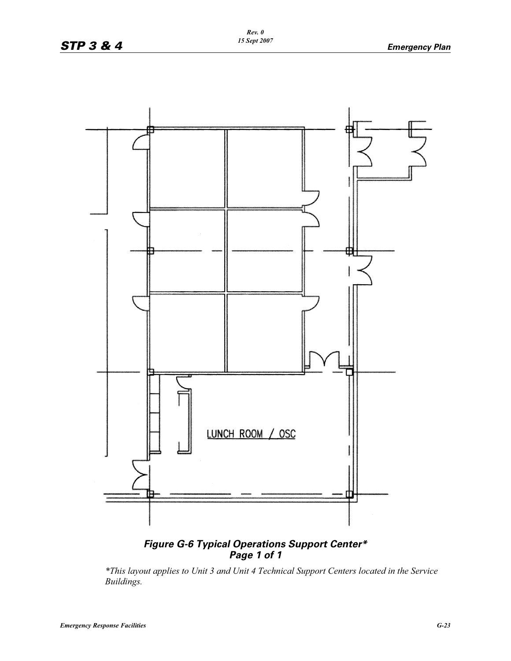

## *Figure G-6 Typical Operations Support Center\* Page 1 of 1*

*\*This layout applies to Unit 3 and Unit 4 Technical Support Centers located in the Service Buildings.*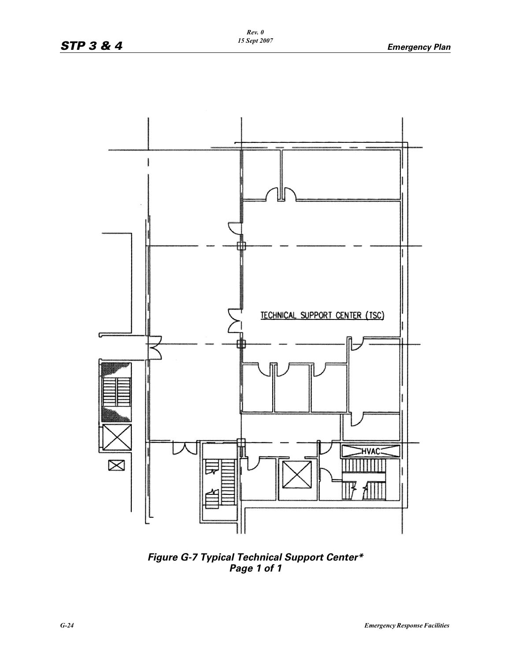

*Figure G-7 Typical Technical Support Center\* Page 1 of 1*